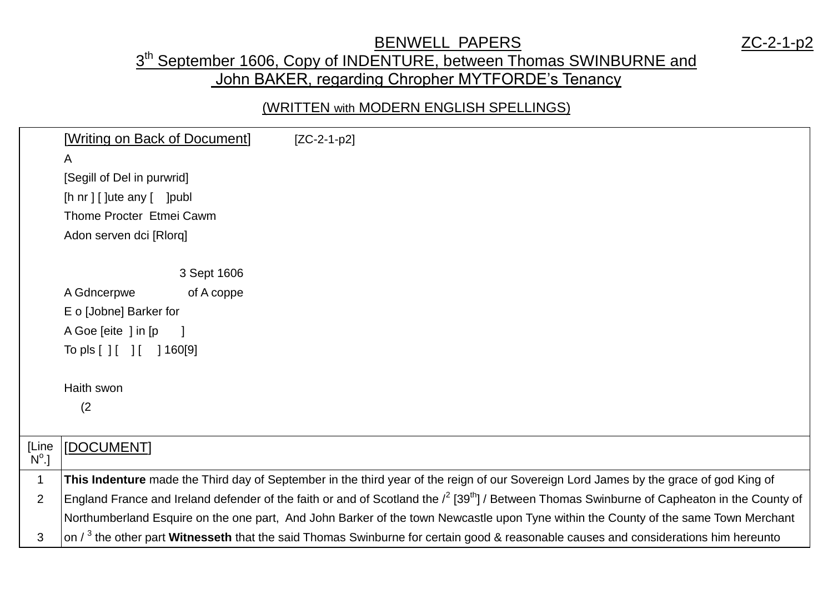## BENWELL PAPERS ZC-2-1-p2

## 3<sup>th</sup> September 1606, Copy of INDENTURE, between Thomas SWINBURNE and John BAKER, regarding Chropher MYTFORDE's Tenancy

## (WRITTEN with MODERN ENGLISH SPELLINGS)

|                | [Writing on Back of Document]          | $[ZC-2-1-p2]$                                                                                                                                              |
|----------------|----------------------------------------|------------------------------------------------------------------------------------------------------------------------------------------------------------|
|                | A                                      |                                                                                                                                                            |
|                | [Segill of Del in purwrid]             |                                                                                                                                                            |
|                | $[h nr]$ [ ] $ u u \neq an$ [ $ pu u $ |                                                                                                                                                            |
|                | Thome Procter Etmei Cawm               |                                                                                                                                                            |
|                | Adon serven dci [Rlorq]                |                                                                                                                                                            |
|                |                                        |                                                                                                                                                            |
|                | 3 Sept 1606                            |                                                                                                                                                            |
|                | A Gdncerpwe<br>of A coppe              |                                                                                                                                                            |
|                | E o [Jobne] Barker for                 |                                                                                                                                                            |
|                | A Goe [eite] in [p]                    |                                                                                                                                                            |
|                | To pls $[ ] [ ] [ ]$<br>] 160[9]       |                                                                                                                                                            |
|                |                                        |                                                                                                                                                            |
|                | Haith swon                             |                                                                                                                                                            |
|                | (2)                                    |                                                                                                                                                            |
|                |                                        |                                                                                                                                                            |
| [Line          | [DOCUMENT]                             |                                                                                                                                                            |
| $N^{\circ}$ .] |                                        |                                                                                                                                                            |
| $\mathbf 1$    |                                        | This Indenture made the Third day of September in the third year of the reign of our Sovereign Lord James by the grace of god King of                      |
| $\overline{2}$ |                                        | England France and Ireland defender of the faith or and of Scotland the $l^2$ [39 <sup>th</sup> ] / Between Thomas Swinburne of Capheaton in the County of |
|                |                                        | Northumberland Esquire on the one part, And John Barker of the town Newcastle upon Tyne within the County of the same Town Merchant                        |
| 3              |                                        | on $\ell^3$ the other part Witnesseth that the said Thomas Swinburne for certain good & reasonable causes and considerations him hereunto                  |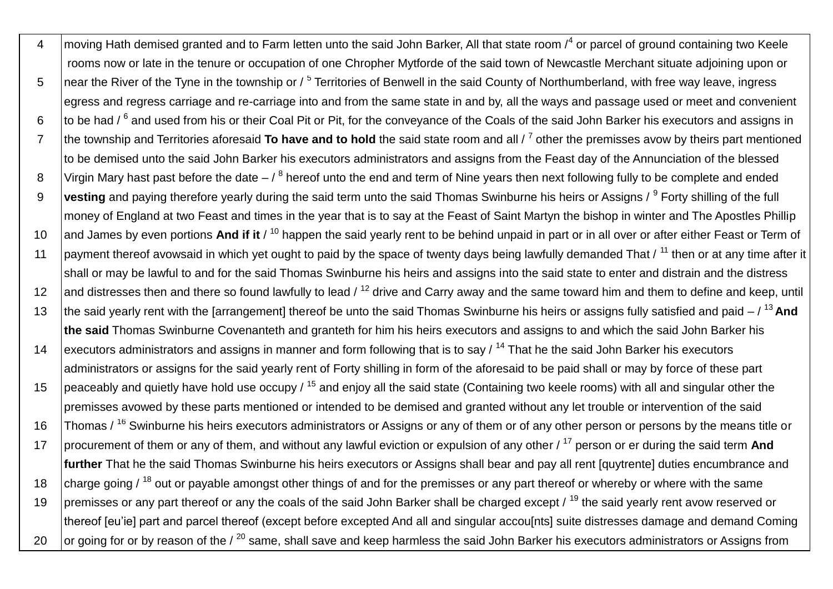4 moving Hath demised granted and to Farm letten unto the said John Barker, All that state room /<sup>4</sup> or parcel of ground containing two Keele rooms now or late in the tenure or occupation of one Chropher Mytforde of the said town of Newcastle Merchant situate adjoining upon or 5 near the River of the Tyne in the township or / <sup>5</sup> Territories of Benwell in the said County of Northumberland, with free way leave, ingress egress and regress carriage and re-carriage into and from the same state in and by, all the ways and passage used or meet and convenient 6 to be had / <sup>6</sup> and used from his or their Coal Pit or Pit, for the conveyance of the Coals of the said John Barker his executors and assigns in 7 | the township and Territories aforesaid To have and to hold the said state room and all / <sup>7</sup> other the premisses avow by theirs part mentioned to be demised unto the said John Barker his executors administrators and assigns from the Feast day of the Annunciation of the blessed 8 Virgin Mary hast past before the date  $-$  /  $^8$  hereof unto the end and term of Nine years then next following fully to be complete and ended 9 **Vesting** and paying therefore yearly during the said term unto the said Thomas Swinburne his heirs or Assigns / <sup>9</sup> Forty shilling of the full money of England at two Feast and times in the year that is to say at the Feast of Saint Martyn the bishop in winter and The Apostles Phillip 10 and James by even portions And if it /<sup>10</sup> happen the said yearly rent to be behind unpaid in part or in all over or after either Feast or Term of 11 | payment thereof avowsaid in which yet ought to paid by the space of twenty days being lawfully demanded That / <sup>11</sup> then or at any time after it shall or may be lawful to and for the said Thomas Swinburne his heirs and assigns into the said state to enter and distrain and the distress 12 and distresses then and there so found lawfully to lead  $/12$  drive and Carry away and the same toward him and them to define and keep, until 13 the said yearly rent with the [arrangement] thereof be unto the said Thomas Swinburne his heirs or assigns fully satisfied and paid – / <sup>13</sup>**And the said** Thomas Swinburne Covenanteth and granteth for him his heirs executors and assigns to and which the said John Barker his 14 executors administrators and assigns in manner and form following that is to say  $/14$  That he the said John Barker his executors administrators or assigns for the said yearly rent of Forty shilling in form of the aforesaid to be paid shall or may by force of these part 15 peaceably and quietly have hold use occupy  $/15$  and enjoy all the said state (Containing two keele rooms) with all and singular other the premisses avowed by these parts mentioned or intended to be demised and granted without any let trouble or intervention of the said 16 Thomas / <sup>16</sup> Swinburne his heirs executors administrators or Assigns or any of them or of any other person or persons by the means title or 17 procurement of them or any of them, and without any lawful eviction or expulsion of any other / <sup>17</sup> person or er during the said term **And further** That he the said Thomas Swinburne his heirs executors or Assigns shall bear and pay all rent [quytrente] duties encumbrance and 18 charge going  $/$ <sup>18</sup> out or payable amongst other things of and for the premisses or any part thereof or whereby or where with the same 19 | premisses or any part thereof or any the coals of the said John Barker shall be charged except  $\ell^{19}$  the said yearly rent avow reserved or thereof [eu'ie] part and parcel thereof (except before excepted And all and singular accou[nts] suite distresses damage and demand Coming 20  $\,$  or going for or by reason of the /  $^{20}$  same, shall save and keep harmless the said John Barker his executors administrators or Assigns from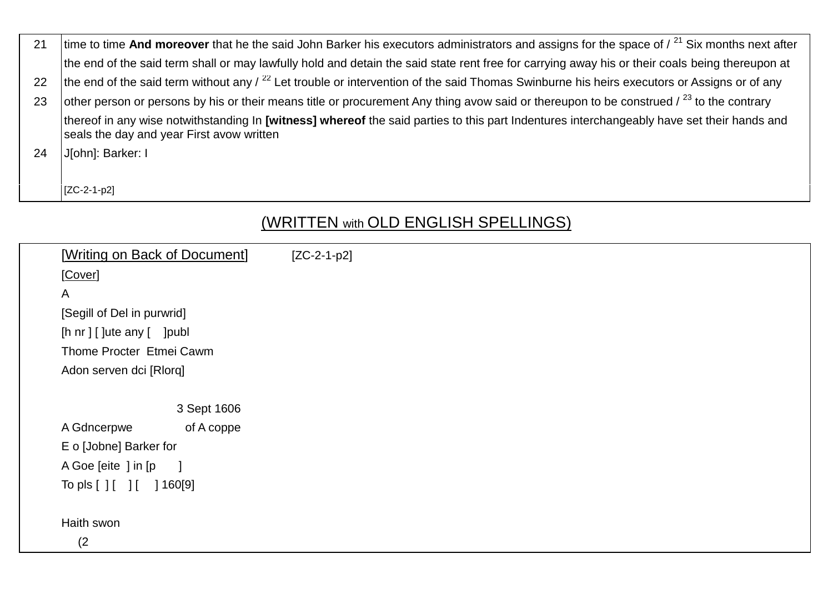| 21 | time to time And moreover that he the said John Barker his executors administrators and assigns for the space of $\ell^{21}$ Six months next after                                      |  |  |
|----|-----------------------------------------------------------------------------------------------------------------------------------------------------------------------------------------|--|--|
|    | the end of the said term shall or may lawfully hold and detain the said state rent free for carrying away his or their coals being thereupon at                                         |  |  |
| 22 | the end of the said term without any $\frac{22}{2}$ Let trouble or intervention of the said Thomas Swinburne his heirs executors or Assigns or of any                                   |  |  |
| 23 | other person or persons by his or their means title or procurement Any thing avow said or thereupon to be construed $\ell^{23}$ to the contrary                                         |  |  |
|    | thereof in any wise notwithstanding In [witness] whereof the said parties to this part Indentures interchangeably have set their hands and<br>seals the day and year First avow written |  |  |
| 24 | J[ohn]: Barker: I                                                                                                                                                                       |  |  |
|    |                                                                                                                                                                                         |  |  |
|    | $[ZC-2-1-p2]$                                                                                                                                                                           |  |  |

## (WRITTEN with OLD ENGLISH SPELLINGS)

| [Writing on Back of Document]         | $[ZC-2-1-p2]$ |
|---------------------------------------|---------------|
| [Cover]                               |               |
| $\mathsf{A}$                          |               |
|                                       |               |
| [Segill of Del in purwrid]            |               |
| [h nr ] [ ]ute any [ ] ] publ         |               |
| Thome Procter Etmei Cawm              |               |
| Adon serven dci [Rlorq]               |               |
|                                       |               |
| 3 Sept 1606                           |               |
| A Gdncerpwe<br>of A coppe             |               |
| E o [Jobne] Barker for                |               |
| A Goe [eite ] in [p<br>$\blacksquare$ |               |
| To pls [ ] [ ] [ ] 160[9]             |               |
|                                       |               |
| Haith swon                            |               |
| (2)                                   |               |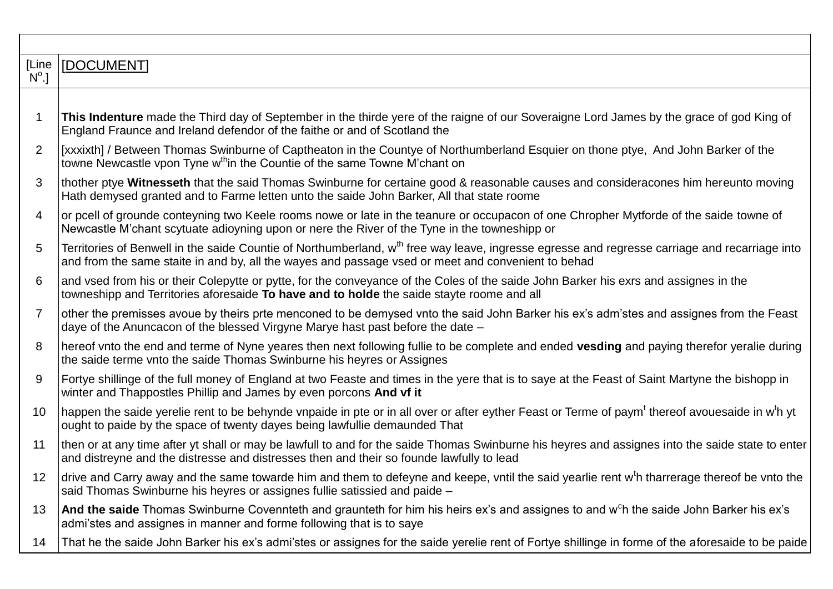| [Line          | [DOCUMENT]                                                                                                                                                                                                                                                      |
|----------------|-----------------------------------------------------------------------------------------------------------------------------------------------------------------------------------------------------------------------------------------------------------------|
| $N^{\circ}.$   |                                                                                                                                                                                                                                                                 |
|                |                                                                                                                                                                                                                                                                 |
| $\mathbf 1$    | This Indenture made the Third day of September in the thirde yere of the raigne of our Soveraigne Lord James by the grace of god King of<br>England Fraunce and Ireland defendor of the faithe or and of Scotland the                                           |
| $\overline{2}$ | [xxxixth] / Between Thomas Swinburne of Captheaton in the Countye of Northumberland Esquier on thone ptye, And John Barker of the<br>towne Newcastle vpon Tyne w <sup>th</sup> in the Countie of the same Towne M'chant on                                      |
| 3              | thother ptye Witnesseth that the said Thomas Swinburne for certaine good & reasonable causes and consideracones him hereunto moving<br>Hath demysed granted and to Farme letten unto the saide John Barker, All that state roome                                |
| $\overline{4}$ | or pcell of grounde conteyning two Keele rooms nowe or late in the teanure or occupacon of one Chropher Mytforde of the saide towne of<br>Newcastle M'chant scytuate adioyning upon or nere the River of the Tyne in the towneshipp or                          |
| 5              | Territories of Benwell in the saide Countie of Northumberland, w <sup>th</sup> free way leave, ingresse egresse and regresse carriage and recarriage into<br>and from the same staite in and by, all the wayes and passage vsed or meet and convenient to behad |
| 6              | and vsed from his or their Colepytte or pytte, for the conveyance of the Coles of the saide John Barker his exrs and assignes in the<br>towneshipp and Territories aforesaide To have and to holde the saide stayte roome and all                               |
| $\overline{7}$ | other the premisses avoue by theirs prte menconed to be demysed vnto the said John Barker his ex's adm'stes and assignes from the Feast<br>daye of the Anuncacon of the blessed Virgyne Marye hast past before the date -                                       |
| 8              | hereof vnto the end and terme of Nyne yeares then next following fullie to be complete and ended <b>vesding</b> and paying therefor yeralie during<br>the saide terme vnto the saide Thomas Swinburne his heyres or Assignes                                    |
| 9              | Fortye shillinge of the full money of England at two Feaste and times in the yere that is to saye at the Feast of Saint Martyne the bishopp in<br>winter and Thappostles Phillip and James by even porcons And vf it                                            |
| 10             | happen the saide yerelie rent to be behynde vnpaide in pte or in all over or after eyther Feast or Terme of paym <sup>t</sup> thereof avouesaide in w <sup>t</sup> h yt<br>ought to paide by the space of twenty dayes being lawfullie demaunded That           |
| 11             | then or at any time after yt shall or may be lawfull to and for the saide Thomas Swinburne his heyres and assignes into the saide state to enter<br>and distreyne and the distresse and distresses then and their so founde lawfully to lead                    |
| 12             | drive and Carry away and the same towarde him and them to defeyne and keepe, vntil the said yearlie rent w <sup>t</sup> h tharrerage thereof be vnto the<br>said Thomas Swinburne his heyres or assignes fullie satissied and paide -                           |
| 13             | And the saide Thomas Swinburne Covennteth and graunteth for him his heirs ex's and assignes to and w <sup>c</sup> h the saide John Barker his ex's<br>admi'stes and assignes in manner and forme following that is to saye                                      |
| 14             | That he the saide John Barker his ex's admi'stes or assignes for the saide yerelie rent of Fortye shillinge in forme of the aforesaide to be paide                                                                                                              |